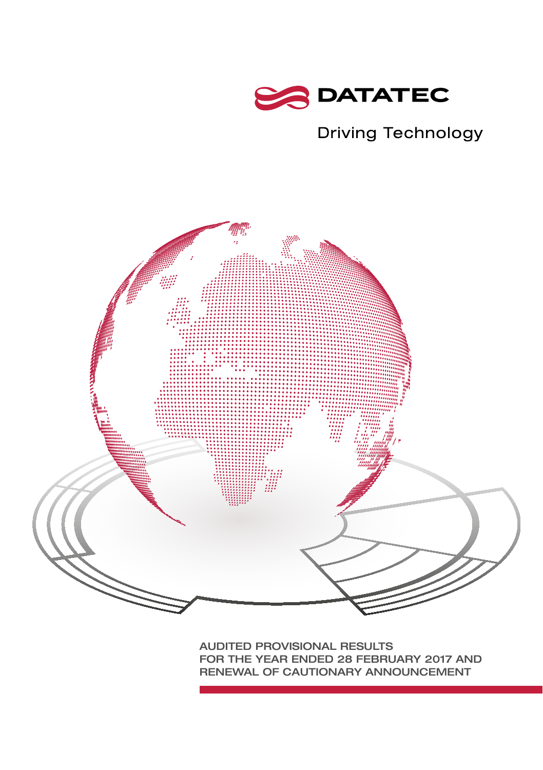

## **Driving Technology**



AUDITED PROVISIONAL RESULTS FOR THE YEAR ENDED 28 FEBRUARY 2017 AND RENEWAL OF CAUTIONARY ANNOUNCEMENT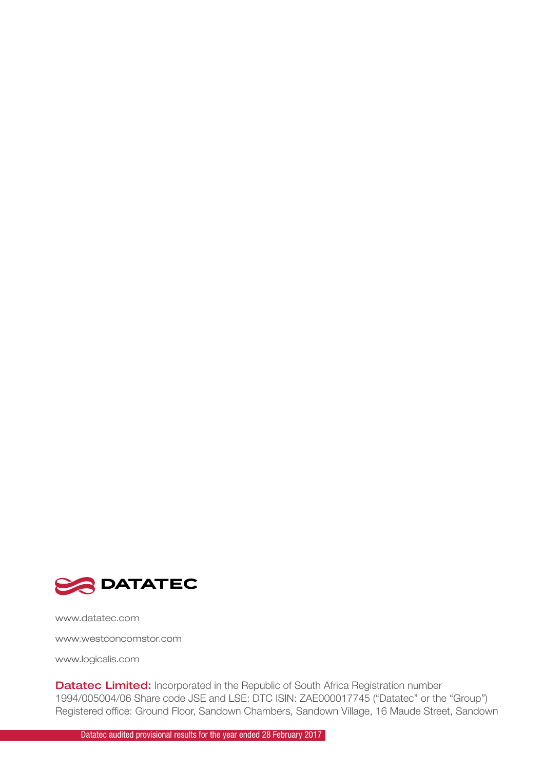

www.datatec.com

www.westconcomstor.com

www.logicalis.com

Datatec Limited: Incorporated in the Republic of South Africa Registration number 1994/005004/06 Share code JSE and LSE: DTC ISIN: ZAE000017745 ("Datatec" or the "Group") Registered office: Ground Floor, Sandown Chambers, Sandown Village, 16 Maude Street, Sandown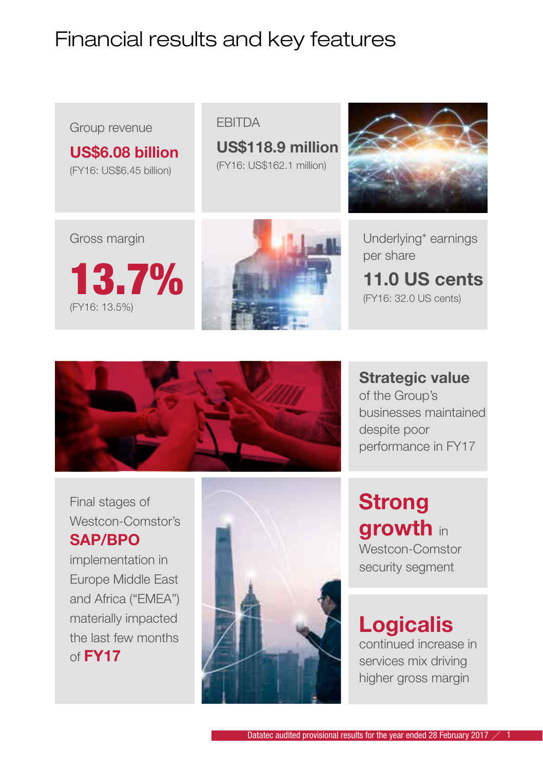# Financial results and key features

### Group revenue

US\$6.08 billion (FY16: US\$6.45 billion)

#### **FRITDA**

US\$118.9 million (FY16: US\$162.1 million)



Underlying\* earnings per share

11.0 US cents (FY16: 32.0 US cents)









Strategic value of the Group's businesses maintained despite poor performance in FY17

**Strong** growth in Westcon-Comstor security seament

# Logicalis

continued increase in services mix driving higher gross margin

Final stages of Westcon-Comstor's SAP/BPO

implementation in Europe Middle East and Africa ("EMEA") materially impacted the last few months of  $FY17$ 

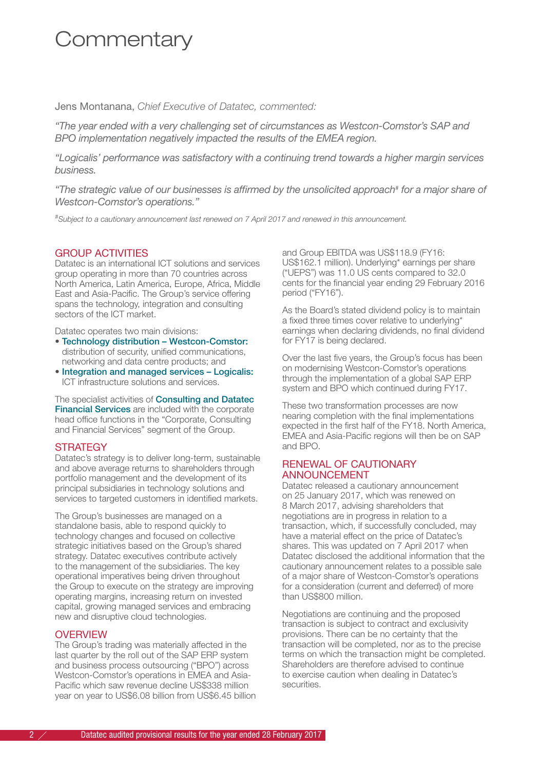## **Commentary**

Jens Montanana, *Chief Executive of Datatec, commented:*

*"The year ended with a very challenging set of circumstances as Westcon-Comstor's SAP and BPO implementation negatively impacted the results of the EMEA region.*

*"Logicalis' performance was satisfactory with a continuing trend towards a higher margin services business.*

*"The strategic value of our businesses is affirmed by the unsolicited approach# for a major share of Westcon-Comstor's operations."*

*# Subject to a cautionary announcement last renewed on 7 April 2017 and renewed in this announcement.*

#### GROUP ACTIVITIES

Datatec is an international ICT solutions and services group operating in more than 70 countries across North America, Latin America, Europe, Africa, Middle East and Asia-Pacific. The Group's service offering spans the technology, integration and consulting sectors of the ICT market.

Datatec operates two main divisions:

- Technology distribution Westcon-Comstor: distribution of security, unified communications, networking and data centre products; and
- Integration and managed services Logicalis: ICT infrastructure solutions and services.

The specialist activities of **Consulting and Datatec** Financial Services are included with the corporate head office functions in the "Corporate, Consulting and Financial Services" segment of the Group.

#### **STRATEGY**

Datatec's strategy is to deliver long-term, sustainable and above average returns to shareholders through portfolio management and the development of its principal subsidiaries in technology solutions and services to targeted customers in identified markets.

The Group's businesses are managed on a standalone basis, able to respond quickly to technology changes and focused on collective strategic initiatives based on the Group's shared strategy. Datatec executives contribute actively to the management of the subsidiaries. The key operational imperatives being driven throughout the Group to execute on the strategy are improving operating margins, increasing return on invested capital, growing managed services and embracing new and disruptive cloud technologies.

#### **OVERVIEW**

The Group's trading was materially affected in the last quarter by the roll out of the SAP ERP system and business process outsourcing ("BPO") across Westcon-Comstor's operations in EMEA and Asia-Pacific which saw revenue decline US\$338 million year on year to US\$6.08 billion from US\$6.45 billion and Group EBITDA was US\$118.9 (FY16: US\$162.1 million). Underlying\* earnings per share ("UEPS") was 11.0 US cents compared to 32.0 cents for the financial year ending 29 February 2016 period ("FY16").

As the Board's stated dividend policy is to maintain a fixed three times cover relative to underlying\* earnings when declaring dividends, no final dividend for FY17 is being declared.

Over the last five years, the Group's focus has been on modernising Westcon-Comstor's operations through the implementation of a global SAP ERP system and BPO which continued during FY17.

These two transformation processes are now nearing completion with the final implementations expected in the first half of the FY18. North America, EMEA and Asia-Pacific regions will then be on SAP and BPO.

#### RENEWAL OF CAUTIONARY **ANNOUNCEMENT**

Datatec released a cautionary announcement on 25 January 2017, which was renewed on 8 March 2017, advising shareholders that negotiations are in progress in relation to a transaction, which, if successfully concluded, may have a material effect on the price of Datatec's shares. This was updated on 7 April 2017 when Datatec disclosed the additional information that the cautionary announcement relates to a possible sale of a major share of Westcon-Comstor's operations for a consideration (current and deferred) of more than US\$800 million.

Negotiations are continuing and the proposed transaction is subject to contract and exclusivity provisions. There can be no certainty that the transaction will be completed, nor as to the precise terms on which the transaction might be completed. Shareholders are therefore advised to continue to exercise caution when dealing in Datatec's securities.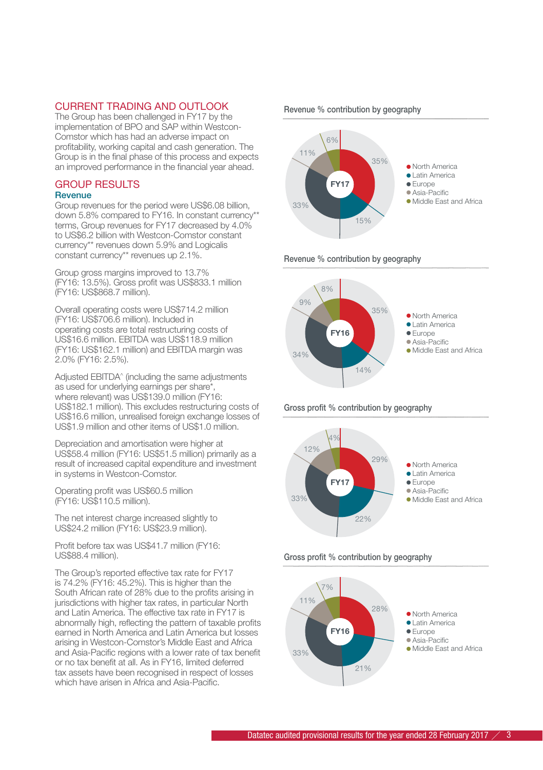#### CURRENT TRADING AND OUTLOOK

The Group has been challenged in FY17 by the implementation of BPO and SAP within Westcon-Comstor which has had an adverse impact on profitability, working capital and cash generation. The Group is in the final phase of this process and expects an improved performance in the financial year ahead.

#### GROUP RESULTS

#### **Revenue**

Group revenues for the period were US\$6.08 billion, down 5.8% compared to FY16. In constant currency\*\* terms, Group revenues for FY17 decreased by 4.0% to US\$6.2 billion with Westcon-Comstor constant currency\*\* revenues down 5.9% and Logicalis constant currency\*\* revenues up 2.1%.

Group gross margins improved to 13.7% (FY16: 13.5%). Gross profit was US\$833.1 million (FY16: US\$868.7 million).

Overall operating costs were US\$714.2 million (FY16: US\$706.6 million). Included in operating costs are total restructuring costs of US\$16.6 million. EBITDA was US\$118.9 million (FY16: US\$162.1 million) and EBITDA margin was 2.0% (FY16: 2.5%).

Adjusted EBITDA^ (including the same adjustments as used for underlying earnings per share\*, where relevant) was US\$139.0 million (FY16: US\$182.1 million). This excludes restructuring costs of US\$16.6 million, unrealised foreign exchange losses of US\$1.9 million and other items of US\$1.0 million.

Depreciation and amortisation were higher at US\$58.4 million (FY16: US\$51.5 million) primarily as a result of increased capital expenditure and investment in systems in Westcon-Comstor.

Operating profit was US\$60.5 million (FY16: US\$110.5 million).

The net interest charge increased slightly to US\$24.2 million (FY16: US\$23.9 million).

Profit before tax was US\$41.7 million (FY16: US\$88.4 million).

The Group's reported effective tax rate for FY17 is 74.2% (FY16: 45.2%). This is higher than the South African rate of 28% due to the profits arising in jurisdictions with higher tax rates, in particular North and Latin America. The effective tax rate in FY17 is abnormally high, reflecting the pattern of taxable profits earned in North America and Latin America but losses arising in Westcon-Comstor's Middle East and Africa and Asia-Pacific regions with a lower rate of tax benefit or no tax benefit at all. As in FY16, limited deferred tax assets have been recognised in respect of losses which have arisen in Africa and Asia-Pacific.





Revenue % contribution by geography



Gross profit % contribution by geography



Gross profit % contribution by geography

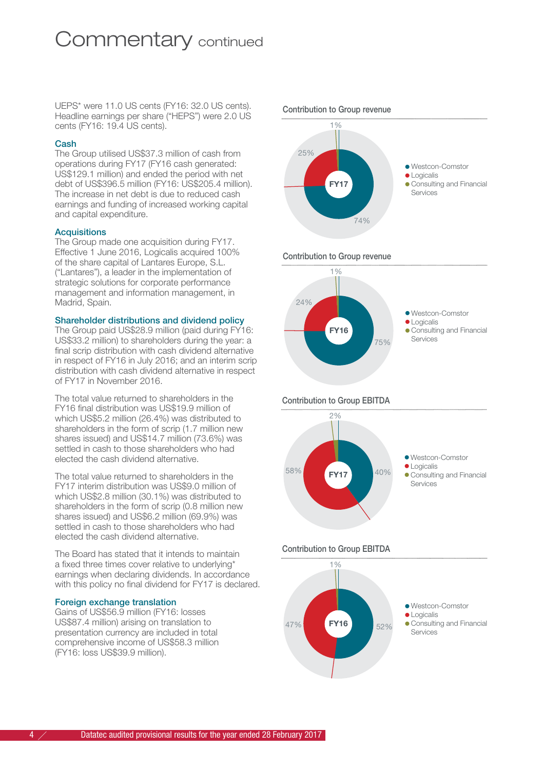## Commentary continued

UEPS\* were 11.0 US cents (FY16: 32.0 US cents). Headline earnings per share ("HEPS") were 2.0 US cents (FY16: 19.4 US cents).

#### Cash

The Group utilised US\$37.3 million of cash from operations during FY17 (FY16 cash generated: US\$129.1 million) and ended the period with net debt of US\$396.5 million (FY16: US\$205.4 million). The increase in net debt is due to reduced cash earnings and funding of increased working capital and capital expenditure.

#### Acquisitions

The Group made one acquisition during FY17. Effective 1 June 2016, Logicalis acquired 100% of the share capital of Lantares Europe, S.L. ("Lantares"), a leader in the implementation of strategic solutions for corporate performance management and information management, in Madrid, Spain.

#### Shareholder distributions and dividend policy

The Group paid US\$28.9 million (paid during FY16: US\$33.2 million) to shareholders during the year: a final scrip distribution with cash dividend alternative in respect of FY16 in July 2016; and an interim scrip distribution with cash dividend alternative in respect of FY17 in November 2016.

The total value returned to shareholders in the FY16 final distribution was US\$19.9 million of which US\$5.2 million (26.4%) was distributed to shareholders in the form of scrip (1.7 million new shares issued) and US\$14.7 million (73.6%) was settled in cash to those shareholders who had elected the cash dividend alternative.

The total value returned to shareholders in the FY17 interim distribution was US\$9.0 million of which US\$2.8 million (30.1%) was distributed to shareholders in the form of scrip (0.8 million new shares issued) and US\$6.2 million (69.9%) was settled in cash to those shareholders who had elected the cash dividend alternative.

The Board has stated that it intends to maintain a fixed three times cover relative to underlying\* earnings when declaring dividends. In accordance with this policy no final dividend for FY17 is declared.

#### Foreign exchange translation

Gains of US\$56.9 million (FY16: losses US\$87.4 million) arising on translation to presentation currency are included in total comprehensive income of US\$58.3 million (FY16: loss US\$39.9 million).



Contribution to Group revenue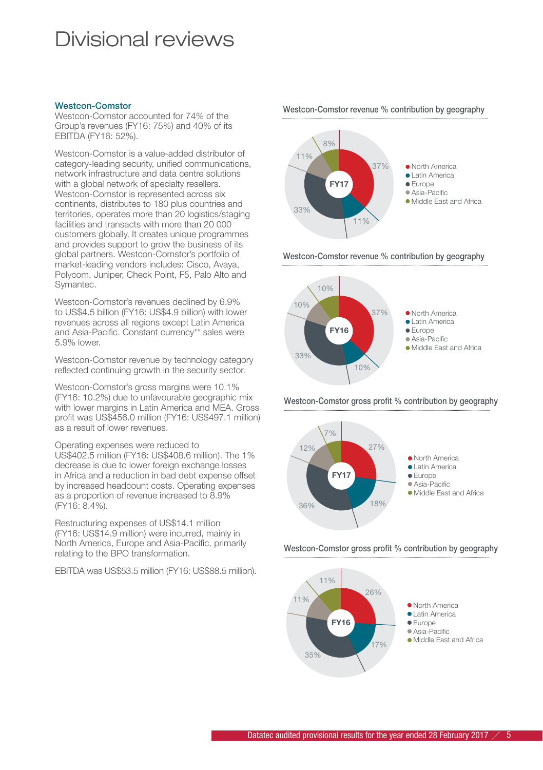## Divisional reviews

#### Westcon-Comstor

Westcon-Comstor accounted for 74% of the Group's revenues (FY16: 75%) and 40% of its EBITDA (FY16: 52%).

Westcon-Comstor is a value-added distributor of category-leading security, unified communications, network infrastructure and data centre solutions with a global network of specialty resellers. Westcon-Comstor is represented across six continents, distributes to 180 plus countries and territories, operates more than 20 logistics/staging facilities and transacts with more than 20 000 customers globally. It creates unique programmes and provides support to grow the business of its global partners. Westcon-Comstor's portfolio of market-leading vendors includes: Cisco, Avaya, Polycom, Juniper, Check Point, F5, Palo Alto and Symantec.

Westcon-Comstor's revenues declined by 6.9% to US\$4.5 billion (FY16: US\$4.9 billion) with lower revenues across all regions except Latin America and Asia-Pacific. Constant currency\*\* sales were 5.9% lower.

Westcon-Comstor revenue by technology category reflected continuing growth in the security sector.

Westcon-Comstor's gross margins were 10.1% (FY16: 10.2%) due to unfavourable geographic mix with lower margins in Latin America and MEA. Gross profit was US\$456.0 million (FY16: US\$497.1 million) as a result of lower revenues.

Operating expenses were reduced to

US\$402.5 million (FY16: US\$408.6 million). The 1% decrease is due to lower foreign exchange losses in Africa and a reduction in bad debt expense offset by increased headcount costs. Operating expenses as a proportion of revenue increased to 8.9% (FY16: 8.4%).

Restructuring expenses of US\$14.1 million (FY16: US\$14.9 million) were incurred, mainly in North America, Europe and Asia-Pacific, primarily relating to the BPO transformation.

EBITDA was US\$53.5 million (FY16: US\$88.5 million).



Westcon-Comstor revenue % contribution by geography



Westcon-Comstor gross profit % contribution by geography



Westcon-Comstor gross profit % contribution by geography



Westcon-Comstor revenue % contribution by geography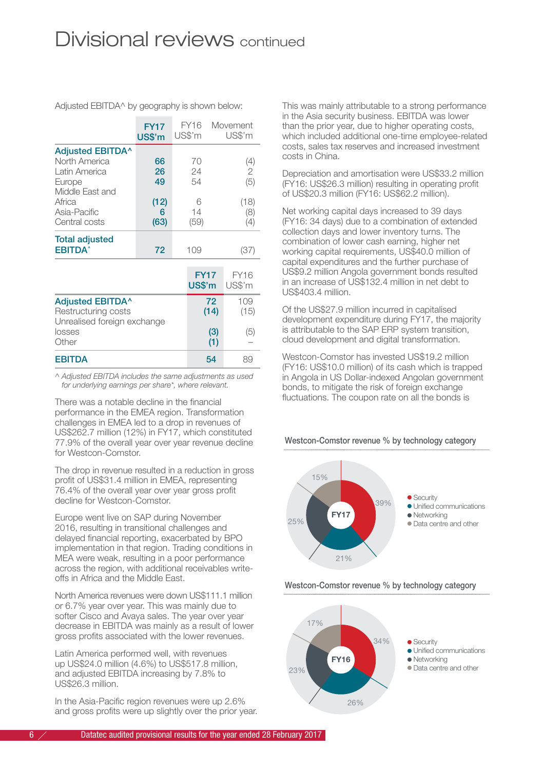## Divisional reviews continued

Adjusted EBITDA^ by geography is shown below:

|                                                                                        | <b>FY17</b><br><b>US\$'m</b> |                | FY16<br>US\$'m        |            | Movement<br>US\$'m |
|----------------------------------------------------------------------------------------|------------------------------|----------------|-----------------------|------------|--------------------|
| <b>Adjusted EBITDA^</b><br>North America<br>Latin America<br>Europe<br>Middle East and | 66<br>26<br>49               | 70<br>24<br>54 |                       |            | (4)<br>2<br>(5)    |
| Africa<br>Asia-Pacific<br>Central costs                                                | (12)<br>6<br>(63)            |                | 6<br>14<br>(59)       |            | (18)<br>(8)<br>(4) |
| <b>Total adjusted</b><br><b>EBITDA</b> <sup>*</sup>                                    | 72                           |                | 109                   |            | (37)               |
|                                                                                        |                              |                | <b>FY17</b><br>US\$'m |            | FY16<br>US\$'m     |
| <b>Adjusted EBITDA^</b><br>Restructuring costs<br>Unrealised foreign exchange          |                              |                |                       | 72<br>(14) | 109<br>(15)        |
| losses<br>Other                                                                        |                              |                |                       | (3)<br>(1) | (5)                |
| <b>EBITDA</b>                                                                          |                              |                |                       | 54         | 89                 |

*^ Adjusted EBITDA includes the same adjustments as used for underlying earnings per share\*, where relevant.*

There was a notable decline in the financial performance in the EMEA region. Transformation challenges in EMEA led to a drop in revenues of US\$262.7 million (12%) in FY17, which constituted 77.9% of the overall year over year revenue decline for Westcon-Comstor.

The drop in revenue resulted in a reduction in gross profit of US\$31.4 million in EMEA, representing 76.4% of the overall year over year gross profit decline for Westcon-Comstor.

Europe went live on SAP during November 2016, resulting in transitional challenges and delayed financial reporting, exacerbated by BPO implementation in that region. Trading conditions in MEA were weak, resulting in a poor performance across the region, with additional receivables writeoffs in Africa and the Middle East.

North America revenues were down US\$111.1 million or 6.7% year over year. This was mainly due to softer Cisco and Avaya sales. The year over year decrease in EBITDA was mainly as a result of lower gross profits associated with the lower revenues.

Latin America performed well, with revenues up US\$24.0 million (4.6%) to US\$517.8 million, and adjusted EBITDA increasing by 7.8% to US\$26.3 million.

In the Asia-Pacific region revenues were up 2.6% and gross profits were up slightly over the prior year. This was mainly attributable to a strong performance in the Asia security business. EBITDA was lower than the prior year, due to higher operating costs, which included additional one-time employee-related costs, sales tax reserves and increased investment costs in China.

Depreciation and amortisation were US\$33.2 million (FY16: US\$26.3 million) resulting in operating profit of US\$20.3 million (FY16: US\$62.2 million).

Net working capital days increased to 39 days (FY16: 34 days) due to a combination of extended collection days and lower inventory turns. The combination of lower cash earning, higher net working capital requirements, US\$40.0 million of capital expenditures and the further purchase of US\$9.2 million Angola government bonds resulted in an increase of US\$132.4 million in net debt to US\$403.4 million.

Of the US\$27.9 million incurred in capitalised development expenditure during FY17, the majority is attributable to the SAP ERP system transition, cloud development and digital transformation.

Westcon-Comstor has invested US\$19.2 million (FY16: US\$10.0 million) of its cash which is trapped in Angola in US Dollar-indexed Angolan government bonds, to mitigate the risk of foreign exchange fluctuations. The coupon rate on all the bonds is

#### Westcon-Comstor revenue % by technology category



Westcon-Comstor revenue % by technology category

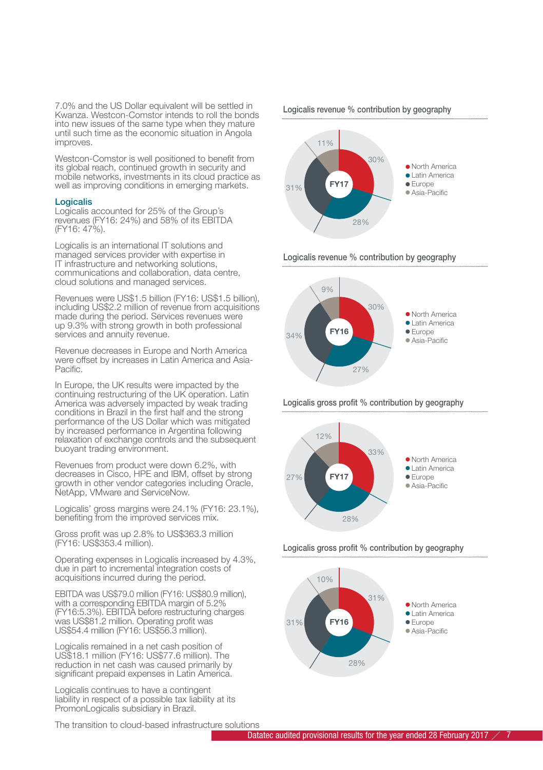7.0% and the US Dollar equivalent will be settled in Kwanza. Westcon-Comstor intends to roll the bonds into new issues of the same type when they mature until such time as the economic situation in Angola improves.

Westcon-Comstor is well positioned to benefit from its global reach, continued growth in security and mobile networks, investments in its cloud practice as well as improving conditions in emerging markets.

#### Logicalis

Logicalis accounted for 25% of the Group's revenues (FY16: 24%) and 58% of its EBITDA (FY16: 47%).

Logicalis is an international IT solutions and managed services provider with expertise in IT infrastructure and networking solutions, communications and collaboration, data centre, cloud solutions and managed services.

Revenues were US\$1.5 billion (FY16: US\$1.5 billion), including US\$2.2 million of revenue from acquisitions made during the period. Services revenues were up 9.3% with strong growth in both professional services and annuity revenue.

Revenue decreases in Europe and North America were offset by increases in Latin America and Asia-Pacific.

In Europe, the UK results were impacted by the continuing restructuring of the UK operation. Latin America was adversely impacted by weak trading conditions in Brazil in the first half and the strong performance of the US Dollar which was mitigated by increased performance in Argentina following relaxation of exchange controls and the subsequent buoyant trading environment.

Revenues from product were down 6.2%, with decreases in Cisco, HPE and IBM, offset by strong growth in other vendor categories including Oracle, NetApp, VMware and ServiceNow.

Logicalis' gross margins were 24.1% (FY16: 23.1%), benefiting from the improved services mix.

Gross profit was up 2.8% to US\$363.3 million (FY16: US\$353.4 million).

Operating expenses in Logicalis increased by 4.3% due in part to incremental integration costs of acquisitions incurred during the period.

EBITDA was US\$79.0 million (FY16: US\$80.9 million), with a corresponding EBITDA margin of 5.2% (FY16:5.3%). EBITDA before restructuring charges was US\$81.2 million. Operating profit was US\$54.4 million (FY16: US\$56.3 million).

Logicalis remained in a net cash position of US\$18.1 million (FY16: US\$77.6 million). The reduction in net cash was caused primarily by significant prepaid expenses in Latin America.

Logicalis continues to have a contingent liability in respect of a possible tax liability at its PromonLogicalis subsidiary in Brazil.

The transition to cloud-based infrastructure solutions





Logicalis revenue % contribution by geography



Logicalis gross profit % contribution by geography



Logicalis gross profit % contribution by geography

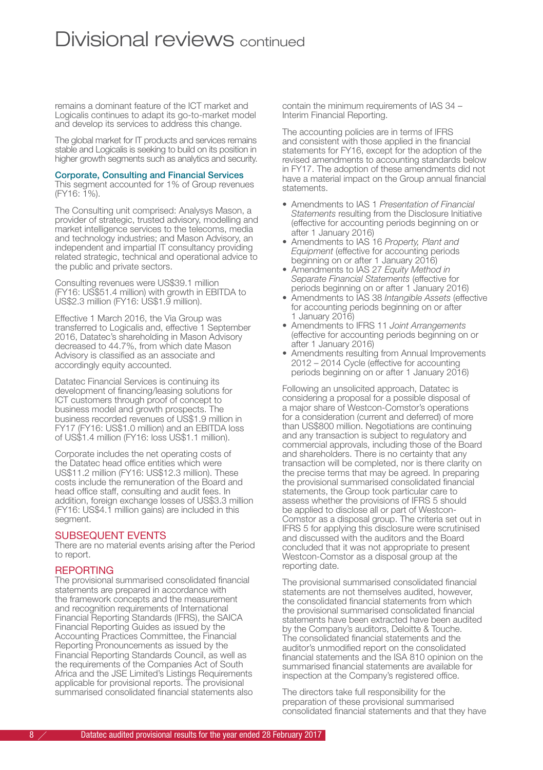## Divisional reviews continued

remains a dominant feature of the ICT market and Logicalis continues to adapt its go-to-market model and develop its services to address this change.

The global market for IT products and services remains stable and Logicalis is seeking to build on its position in higher growth segments such as analytics and security.

#### Corporate, Consulting and Financial Services

This segment accounted for 1% of Group revenues (FY16: 1%).

The Consulting unit comprised: Analysys Mason, a provider of strategic, trusted advisory, modelling and market intelligence services to the telecoms, media and technology industries; and Mason Advisory, an independent and impartial IT consultancy providing related strategic, technical and operational advice to the public and private sectors.

Consulting revenues were US\$39.1 million (FY16: US\$51.4 million) with growth in EBITDA to US\$2.3 million (FY16: US\$1.9 million).

Effective 1 March 2016, the Via Group was transferred to Logicalis and, effective 1 September 2016, Datatec's shareholding in Mason Advisory decreased to 44.7%, from which date Mason Advisory is classified as an associate and accordingly equity accounted.

Datatec Financial Services is continuing its development of financing/leasing solutions for ICT customers through proof of concept to business model and growth prospects. The business recorded revenues of US\$1.9 million in FY17 (FY16: US\$1.0 million) and an EBITDA loss of US\$1.4 million (FY16: loss US\$1.1 million).

Corporate includes the net operating costs of the Datatec head office entities which were US\$11.2 million (FY16: US\$12.3 million). These costs include the remuneration of the Board and head office staff, consulting and audit fees. In addition, foreign exchange losses of US\$3.3 million (FY16: US\$4.1 million gains) are included in this segment.

#### SUBSEQUENT EVENTS

There are no material events arising after the Period to report.

#### REPORTING

The provisional summarised consolidated financial statements are prepared in accordance with the framework concepts and the measurement and recognition requirements of International Financial Reporting Standards (IFRS), the SAICA Financial Reporting Guides as issued by the Accounting Practices Committee, the Financial Reporting Pronouncements as issued by the Financial Reporting Standards Council, as well as the requirements of the Companies Act of South Africa and the JSE Limited's Listings Requirements applicable for provisional reports. The provisional summarised consolidated financial statements also contain the minimum requirements of IAS 34 – Interim Financial Reporting.

The accounting policies are in terms of IFRS and consistent with those applied in the financial statements for FY16, except for the adoption of the revised amendments to accounting standards below in FY17. The adoption of these amendments did not have a material impact on the Group annual financial statements.

- Amendments to IAS 1 *Presentation of Financial Statements* resulting from the Disclosure Initiative (effective for accounting periods beginning on or after 1 January 2016)
- Amendments to IAS 16 *Property, Plant and Equipment* (effective for accounting periods beginning on or after 1 January 2016)
- Amendments to IAS 27 *Equity Method in Separate Financial Statements* (effective for periods beginning on or after 1 January 2016)
- Amendments to IAS 38 *Intangible Assets* (effective for accounting periods beginning on or after 1 January 2016)
- Amendments to IFRS 11 *Joint Arrangements* (effective for accounting periods beginning on or after 1 January 2016)
- Amendments resulting from Annual Improvements 2012 – 2014 Cycle (effective for accounting periods beginning on or after 1 January 2016)

Following an unsolicited approach, Datatec is considering a proposal for a possible disposal of a major share of Westcon-Comstor's operations for a consideration (current and deferred) of more than US\$800 million. Negotiations are continuing and any transaction is subject to regulatory and commercial approvals, including those of the Board and shareholders. There is no certainty that any transaction will be completed, nor is there clarity on the precise terms that may be agreed. In preparing the provisional summarised consolidated financial statements, the Group took particular care to assess whether the provisions of IFRS 5 should be applied to disclose all or part of Westcon-Comstor as a disposal group. The criteria set out in IFRS 5 for applying this disclosure were scrutinised and discussed with the auditors and the Board concluded that it was not appropriate to present Westcon-Comstor as a disposal group at the reporting date.

The provisional summarised consolidated financial statements are not themselves audited, however, the consolidated financial statements from which the provisional summarised consolidated financial statements have been extracted have been audited by the Company's auditors, Deloitte & Touche. The consolidated financial statements and the auditor's unmodified report on the consolidated financial statements and the ISA 810 opinion on the summarised financial statements are available for inspection at the Company's registered office.

The directors take full responsibility for the preparation of these provisional summarised consolidated financial statements and that they have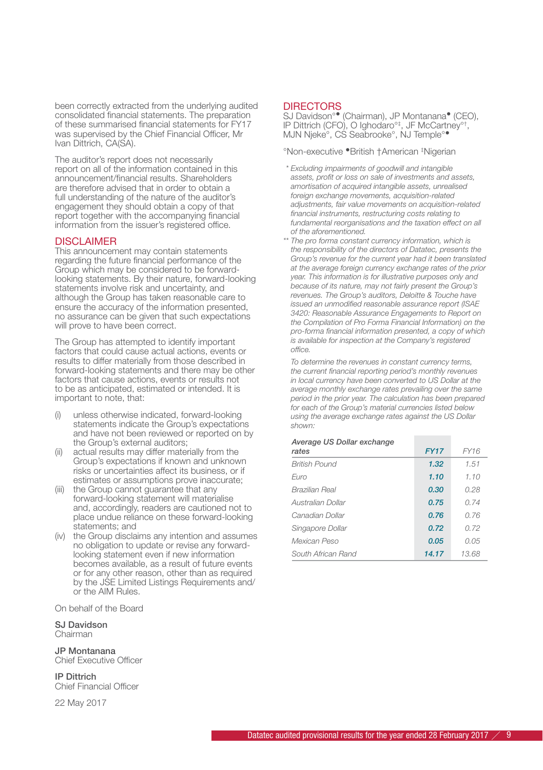been correctly extracted from the underlying audited consolidated financial statements. The preparation of these summarised financial statements for FY17 was supervised by the Chief Financial Officer, Mr Ivan Dittrich, CA(SA).

The auditor's report does not necessarily report on all of the information contained in this announcement/financial results. Shareholders are therefore advised that in order to obtain a full understanding of the nature of the auditor's engagement they should obtain a copy of that report together with the accompanying financial information from the issuer's registered office.

#### **DISCLAIMER**

This announcement may contain statements regarding the future financial performance of the Group which may be considered to be forwardlooking statements. By their nature, forward-looking statements involve risk and uncertainty, and although the Group has taken reasonable care to ensure the accuracy of the information presented, no assurance can be given that such expectations will prove to have been correct.

The Group has attempted to identify important factors that could cause actual actions, events or results to differ materially from those described in forward-looking statements and there may be other factors that cause actions, events or results not to be as anticipated, estimated or intended. It is important to note, that:

- unless otherwise indicated, forward-looking statements indicate the Group's expectations and have not been reviewed or reported on by the Group's external auditors;
- (ii) actual results may differ materially from the Group's expectations if known and unknown risks or uncertainties affect its business, or if estimates or assumptions prove inaccurate;
- (iii) the Group cannot guarantee that any forward-looking statement will materialise and, accordingly, readers are cautioned not to place undue reliance on these forward-looking statements; and
- (iv) the Group disclaims any intention and assumes no obligation to update or revise any forwardlooking statement even if new information becomes available, as a result of future events or for any other reason, other than as required by the JSE Limited Listings Requirements and/ or the AIM Rules.

On behalf of the Board

SJ Davidson Chairman

JP Montanana Chief Executive Officer

IP Dittrich Chief Financial Officer

22 May 2017

#### **DIRECTORS**

SJ Davidson°• (Chairman), JP Montanana• (CEO), IP Dittrich (CFO), O Ighodaro°‡ , JF McCartney°† , MJN Njeke°, CS Seabrooke°, NJ Temple°•

°Non-executive •British †American ‡ Nigerian

- *\* Excluding impairments of goodwill and intangible assets, profit or loss on sale of investments and assets, amortisation of acquired intangible assets, unrealised foreign exchange movements, acquisition-related adjustments, fair value movements on acquisition-related financial instruments, restructuring costs relating to fundamental reorganisations and the taxation effect on all of the aforementioned.*
- *\*\* The pro forma constant currency information, which is the responsibility of the directors of Datatec, presents the Group's revenue for the current year had it been translated at the average foreign currency exchange rates of the prior year. This information is for illustrative purposes only and because of its nature, may not fairly present the Group's revenues. The Group's auditors, Deloitte & Touche have issued an unmodified reasonable assurance report (ISAE 3420: Reasonable Assurance Engagements to Report on the Compilation of Pro Forma Financial Information) on the pro-forma financial information presented, a copy of which is available for inspection at the Company's registered office.*

*To determine the revenues in constant currency terms, the current financial reporting period's monthly revenues in local currency have been converted to US Dollar at the average monthly exchange rates prevailing over the same period in the prior year. The calculation has been prepared for each of the Group's material currencies listed below using the average exchange rates against the US Dollar shown:*

| Average OS Donar excritainge<br>rates | <b>FY17</b> | <b>FY16</b> |
|---------------------------------------|-------------|-------------|
| <b>British Pound</b>                  | 1.32        | 1.51        |
| Euro                                  | 1.10        | 1.10        |
| <b>Brazilian Real</b>                 | 0.30        | 0.28        |
| Australian Dollar                     | 0.75        | 0.74        |
|                                       |             |             |

*Average US Dollar exchange* 

| Canadian Dollar    | 0.76  | 0.76  |
|--------------------|-------|-------|
| Singapore Dollar   | 0.72  | 0.72  |
| Mexican Peso       | 0.05  | 0.05  |
| South African Rand | 14.17 | 13.68 |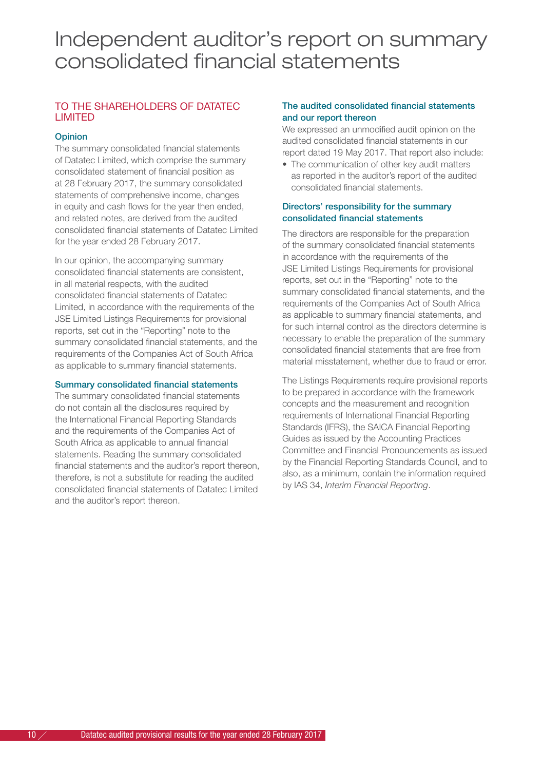## Independent auditor's report on summary consolidated financial statements

#### TO THE SHAREHOLDERS OF DATATEC LIMITED

#### **Opinion**

The summary consolidated financial statements of Datatec Limited, which comprise the summary consolidated statement of financial position as at 28 February 2017, the summary consolidated statements of comprehensive income, changes in equity and cash flows for the year then ended, and related notes, are derived from the audited consolidated financial statements of Datatec Limited for the year ended 28 February 2017.

In our opinion, the accompanying summary consolidated financial statements are consistent, in all material respects, with the audited consolidated financial statements of Datatec Limited, in accordance with the requirements of the JSE Limited Listings Requirements for provisional reports, set out in the "Reporting" note to the summary consolidated financial statements, and the requirements of the Companies Act of South Africa as applicable to summary financial statements.

#### Summary consolidated financial statements

The summary consolidated financial statements do not contain all the disclosures required by the International Financial Reporting Standards and the requirements of the Companies Act of South Africa as applicable to annual financial statements. Reading the summary consolidated financial statements and the auditor's report thereon, therefore, is not a substitute for reading the audited consolidated financial statements of Datatec Limited and the auditor's report thereon.

#### The audited consolidated financial statements and our report thereon

We expressed an unmodified audit opinion on the audited consolidated financial statements in our report dated 19 May 2017. That report also include:

• The communication of other key audit matters as reported in the auditor's report of the audited consolidated financial statements.

#### Directors' responsibility for the summary consolidated financial statements

The directors are responsible for the preparation of the summary consolidated financial statements in accordance with the requirements of the JSE Limited Listings Requirements for provisional reports, set out in the "Reporting" note to the summary consolidated financial statements, and the requirements of the Companies Act of South Africa as applicable to summary financial statements, and for such internal control as the directors determine is necessary to enable the preparation of the summary consolidated financial statements that are free from material misstatement, whether due to fraud or error.

The Listings Requirements require provisional reports to be prepared in accordance with the framework concepts and the measurement and recognition requirements of International Financial Reporting Standards (IFRS), the SAICA Financial Reporting Guides as issued by the Accounting Practices Committee and Financial Pronouncements as issued by the Financial Reporting Standards Council, and to also, as a minimum, contain the information required by IAS 34, *Interim Financial Reporting*.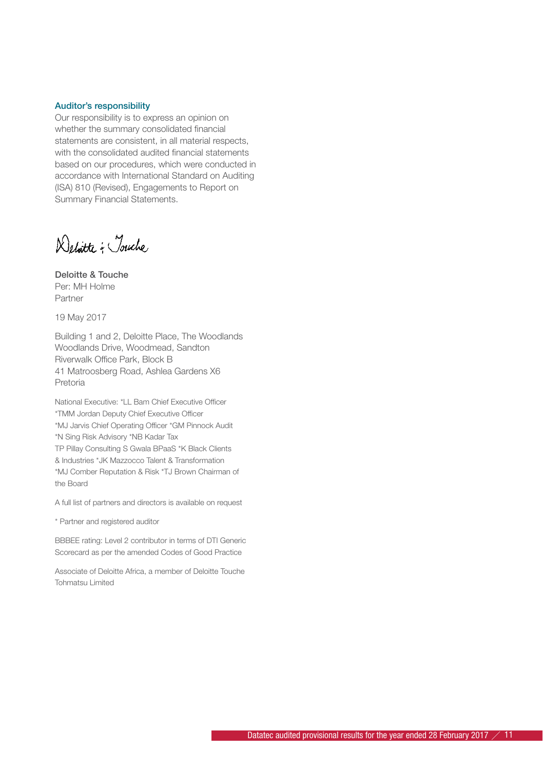#### Auditor's responsibility

Our responsibility is to express an opinion on whether the summary consolidated financial statements are consistent, in all material respects, with the consolidated audited financial statements based on our procedures, which were conducted in accordance with International Standard on Auditing (ISA) 810 (Revised), Engagements to Report on Summary Financial Statements.

Delitte - Touche

Deloitte & Touche Per: MH Holme Partner

19 May 2017

Building 1 and 2, Deloitte Place, The Woodlands Woodlands Drive, Woodmead, Sandton Riverwalk Office Park, Block B 41 Matroosberg Road, Ashlea Gardens X6 Pretoria

National Executive: \*LL Bam Chief Executive Officer \*TMM Jordan Deputy Chief Executive Officer \*MJ Jarvis Chief Operating Officer \*GM Pinnock Audit \*N Sing Risk Advisory \*NB Kadar Tax TP Pillay Consulting S Gwala BPaaS \*K Black Clients & Industries \*JK Mazzocco Talent & Transformation \*MJ Comber Reputation & Risk \*TJ Brown Chairman of the Board

A full list of partners and directors is available on request

\* Partner and registered auditor

BBBEE rating: Level 2 contributor in terms of DTI Generic Scorecard as per the amended Codes of Good Practice

Associate of Deloitte Africa, a member of Deloitte Touche Tohmatsu Limited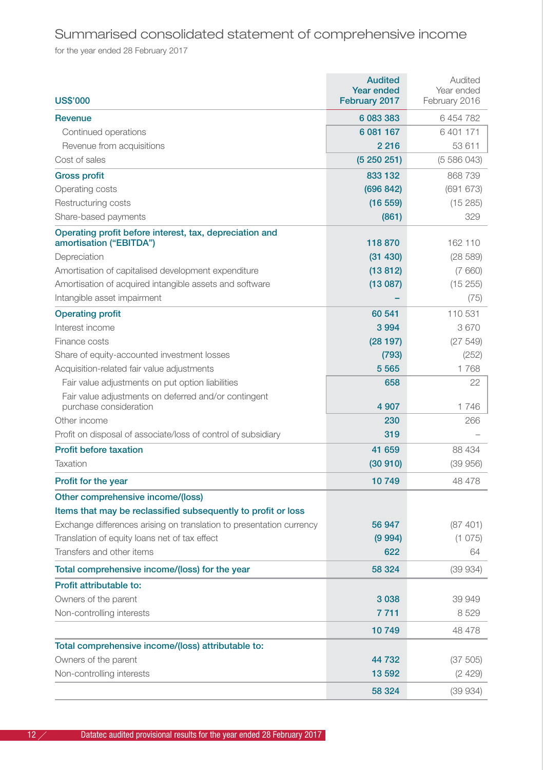## Summarised consolidated statement of comprehensive income

for the year ended 28 February 2017

| <b>US\$'000</b>                                                                    | <b>Audited</b><br><b>Year ended</b><br>February 2017 | Audited<br>Year ended<br>February 2016 |
|------------------------------------------------------------------------------------|------------------------------------------------------|----------------------------------------|
| <b>Revenue</b>                                                                     | 6 083 383                                            | 6454782                                |
| Continued operations                                                               | 6 081 167                                            | 6401171                                |
| Revenue from acquisitions                                                          | 2 2 1 6                                              | 53 611                                 |
| Cost of sales                                                                      | (5250251)                                            | (5586043)                              |
| <b>Gross profit</b>                                                                | 833 132                                              | 868739                                 |
| Operating costs                                                                    | (696 842)                                            | (691 673)                              |
| Restructuring costs                                                                | (16 559)                                             | (15285)                                |
| Share-based payments                                                               | (861)                                                | 329                                    |
| Operating profit before interest, tax, depreciation and<br>amortisation ("EBITDA") | 118870                                               | 162 110                                |
| Depreciation                                                                       | (31 430)                                             | (28589)                                |
| Amortisation of capitalised development expenditure                                | (13812)                                              | (7660)                                 |
| Amortisation of acquired intangible assets and software                            | (13087)                                              | (15 255)                               |
| Intangible asset impairment                                                        |                                                      | (75)                                   |
| <b>Operating profit</b>                                                            | 60 541                                               | 110 531                                |
| Interest income                                                                    | 3994                                                 | 3670                                   |
| Finance costs                                                                      | (28197)                                              | (27549)                                |
| Share of equity-accounted investment losses                                        | (793)                                                | (252)                                  |
| Acquisition-related fair value adjustments                                         | 5 5 6 5                                              | 1768                                   |
| Fair value adjustments on put option liabilities                                   | 658                                                  | 22                                     |
| Fair value adjustments on deferred and/or contingent<br>purchase consideration     | 4 9 0 7                                              | 1746                                   |
| Other income                                                                       | 230                                                  | 266                                    |
| Profit on disposal of associate/loss of control of subsidiary                      | 319                                                  |                                        |
| <b>Profit before taxation</b>                                                      | 41 659                                               | 88 434                                 |
| Taxation                                                                           | (30910)                                              | (39956)                                |
| Profit for the year                                                                | 10749                                                | 48 478                                 |
| Other comprehensive income/(loss)                                                  |                                                      |                                        |
| Items that may be reclassified subsequently to profit or loss                      |                                                      |                                        |
| Exchange differences arising on translation to presentation currency               | 56 947                                               | (87401)                                |
| Translation of equity loans net of tax effect                                      | (9994)                                               | (1075)                                 |
| Transfers and other items                                                          | 622                                                  | 64                                     |
| Total comprehensive income/(loss) for the year                                     | 58 324                                               | (39934)                                |
| Profit attributable to:                                                            |                                                      |                                        |
| Owners of the parent                                                               | 3038                                                 | 39 949                                 |
| Non-controlling interests                                                          | 7711                                                 | 8529                                   |
|                                                                                    | 10749                                                | 48 478                                 |
| Total comprehensive income/(loss) attributable to:                                 |                                                      |                                        |
| Owners of the parent                                                               | 44 732                                               | (37 505)                               |
| Non-controlling interests                                                          | 13 592                                               | (2429)                                 |
|                                                                                    | 58 324                                               | (39934)                                |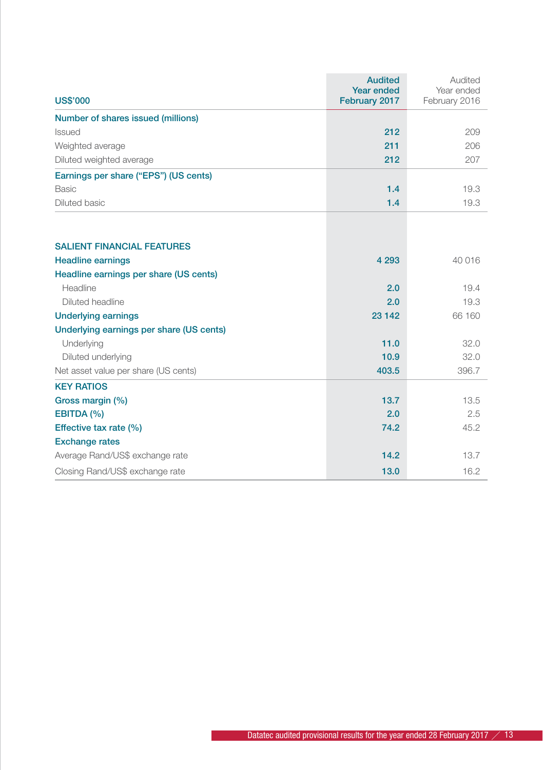|                                          | <b>Audited</b><br>Year ended | Audited<br>Year ended |
|------------------------------------------|------------------------------|-----------------------|
| <b>US\$'000</b>                          | February 2017                | February 2016         |
| Number of shares issued (millions)       |                              |                       |
| <b>Issued</b>                            | 212                          | 209                   |
| Weighted average                         | 211                          | 206                   |
| Diluted weighted average                 | 212                          | 207                   |
| Earnings per share ("EPS") (US cents)    |                              |                       |
| Basic                                    | 1.4                          | 19.3                  |
| Diluted basic                            | 1.4                          | 19.3                  |
|                                          |                              |                       |
| <b>SALIENT FINANCIAL FEATURES</b>        |                              |                       |
| <b>Headline earnings</b>                 | 4 2 9 3                      | 40 016                |
| Headline earnings per share (US cents)   |                              |                       |
| Headline                                 | 2.0                          | 19.4                  |
| Diluted headline                         | 2.0                          | 19.3                  |
| <b>Underlying earnings</b>               | 23 142                       | 66 160                |
| Underlying earnings per share (US cents) |                              |                       |
| Underlying                               | 11.0                         | 32.0                  |
| Diluted underlying                       | 10.9                         | 32.0                  |
| Net asset value per share (US cents)     | 403.5                        | 396.7                 |
| <b>KEY RATIOS</b>                        |                              |                       |
| Gross margin (%)                         | 13.7                         | 13.5                  |
| EBITDA (%)                               | 2.0                          | 2.5                   |
| Effective tax rate (%)                   | 74.2                         | 45.2                  |
| <b>Exchange rates</b>                    |                              |                       |
| Average Rand/US\$ exchange rate          | 14.2                         | 13.7                  |
| Closing Rand/US\$ exchange rate          | 13.0                         | 16.2                  |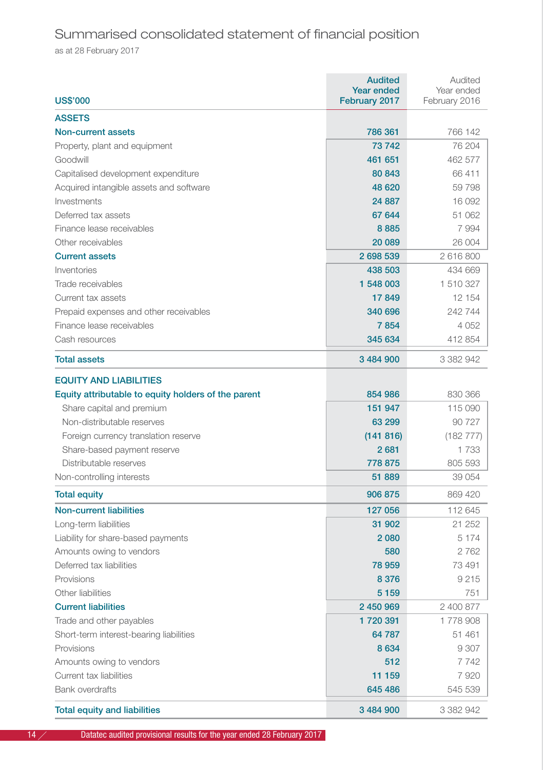## Summarised consolidated statement of financial position

as at 28 February 2017

|                                                     | <b>Audited</b><br><b>Year ended</b> | Audited<br>Year ended |
|-----------------------------------------------------|-------------------------------------|-----------------------|
| <b>US\$'000</b>                                     | February 2017                       | February 2016         |
| <b>ASSETS</b>                                       |                                     |                       |
| Non-current assets                                  | 786 361                             | 766 142               |
| Property, plant and equipment                       | 73742                               | 76 204                |
| Goodwill                                            | 461 651                             | 462 577               |
| Capitalised development expenditure                 | 80 843                              | 66411                 |
| Acquired intangible assets and software             | 48 6 20                             | 59798                 |
| Investments                                         | 24 887                              | 16 092                |
| Deferred tax assets                                 | 67 644                              | 51 062                |
| Finance lease receivables                           | 8885                                | 7994                  |
| Other receivables                                   | 20 089                              | 26 004                |
| <b>Current assets</b>                               | 2 698 539                           | 2616800               |
| Inventories                                         | 438 503                             | 434 669               |
| Trade receivables                                   | 1 548 003                           | 1510327               |
| Current tax assets                                  | 17849                               | 12 154                |
| Prepaid expenses and other receivables              | 340 696                             | 242 744               |
| Finance lease receivables                           | 7854                                | 4052                  |
| Cash resources                                      | 345 634                             | 412 854               |
| <b>Total assets</b>                                 | 3 484 900                           | 3 382 942             |
| <b>EQUITY AND LIABILITIES</b>                       |                                     |                       |
| Equity attributable to equity holders of the parent | 854 986                             | 830 366               |
| Share capital and premium                           | 151 947                             | 115 090               |
| Non-distributable reserves                          | 63 299                              | 90 7 27               |
| Foreign currency translation reserve                | (141816)                            | (182 777)             |
| Share-based payment reserve                         | 2681                                | 1733                  |
| Distributable reserves                              | 778 875                             | 805 593               |
| Non-controlling interests                           | 51 889                              | 39 054                |
| <b>Total equity</b>                                 | 906 875                             | 869 420               |
| <b>Non-current liabilities</b>                      | 127 056                             | 112 645               |
| Long-term liabilities                               | 31 902                              | 21 252                |
| Liability for share-based payments                  | 2080                                | 5 1 7 4               |
| Amounts owing to vendors                            | 580                                 | 2762                  |
| Deferred tax liabilities                            | 78 959                              | 73 491                |
| Provisions                                          | 8 3 7 6                             | 9215                  |
| Other liabilities                                   | 5 1 5 9                             | 751                   |
| <b>Current liabilities</b>                          | 2 450 969                           | 2 400 877             |
| Trade and other payables                            | 1720391                             | 1778908               |
| Short-term interest-bearing liabilities             | 64 787                              | 51 461                |
| Provisions                                          | 8634                                | 9 3 0 7               |
| Amounts owing to vendors                            | 512                                 | 7742                  |
| Current tax liabilities                             | 11 159                              | 7920                  |
| <b>Bank overdrafts</b>                              | 645 486                             | 545 539               |
| <b>Total equity and liabilities</b>                 | 3 484 900                           | 3 382 942             |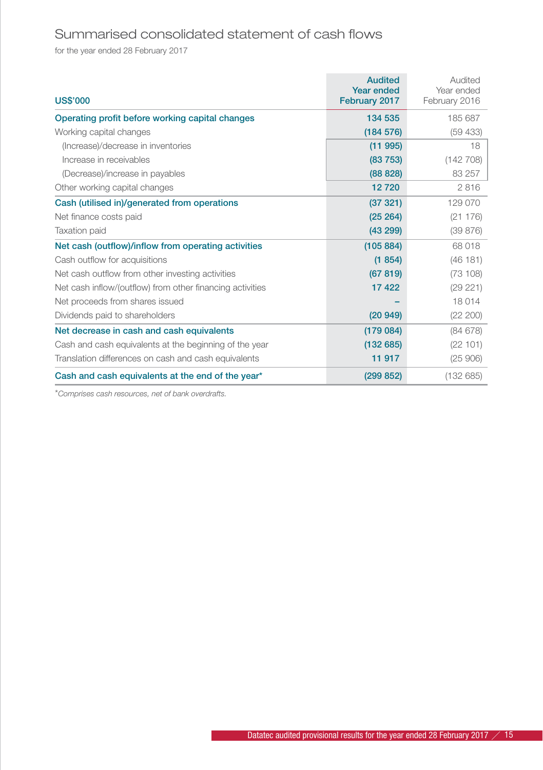## Summarised consolidated statement of cash flows

for the year ended 28 February 2017

| <b>US\$'000</b>                                           | <b>Audited</b><br><b>Year ended</b><br>February 2017 | Audited<br>Year ended<br>February 2016 |
|-----------------------------------------------------------|------------------------------------------------------|----------------------------------------|
| Operating profit before working capital changes           | 134 535                                              | 185 687                                |
| Working capital changes                                   | (184576)                                             | (59 433)                               |
| (Increase)/decrease in inventories                        | (11995)                                              | 18                                     |
| Increase in receivables                                   | (83753)                                              | (142708)                               |
| (Decrease)/increase in payables                           | (88828)                                              | 83 257                                 |
| Other working capital changes                             | 12720                                                | 2816                                   |
| Cash (utilised in)/generated from operations              | (37321)                                              | 129 070                                |
| Net finance costs paid                                    | (25 264)                                             | (21176)                                |
| <b>Taxation paid</b>                                      | (43 299)                                             | (39 876)                               |
| Net cash (outflow)/inflow from operating activities       | (105 884)                                            | 68 018                                 |
| Cash outflow for acquisitions                             | (1854)                                               | (46181)                                |
| Net cash outflow from other investing activities          | (67819)                                              | (73108)                                |
| Net cash inflow/(outflow) from other financing activities | 17422                                                | (29 221)                               |
| Net proceeds from shares issued                           |                                                      | 18014                                  |
| Dividends paid to shareholders                            | (20949)                                              | (22 200)                               |
| Net decrease in cash and cash equivalents                 | (179084)                                             | (84678)                                |
| Cash and cash equivalents at the beginning of the year    | (132685)                                             | (22101)                                |
| Translation differences on cash and cash equivalents      | 11 917                                               | (25906)                                |
| Cash and cash equivalents at the end of the year*         | (299 852)                                            | (132685)                               |

\**Comprises cash resources, net of bank overdrafts.*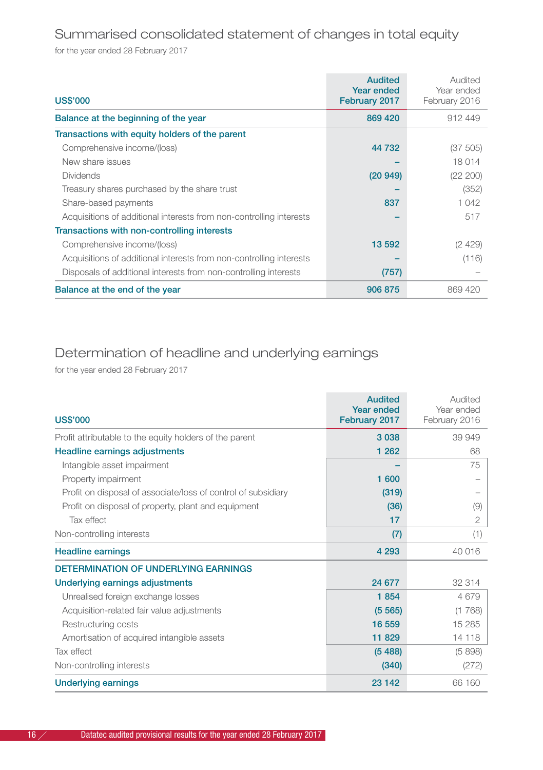### Summarised consolidated statement of changes in total equity

for the year ended 28 February 2017

| <b>US\$'000</b>                                                     | <b>Audited</b><br>Year ended<br>February 2017 | Audited<br>Year ended<br>February 2016 |
|---------------------------------------------------------------------|-----------------------------------------------|----------------------------------------|
| Balance at the beginning of the year                                | 869 420                                       | 912449                                 |
| Transactions with equity holders of the parent                      |                                               |                                        |
| Comprehensive income/(loss)                                         | 44 732                                        | (37 505)                               |
| New share issues                                                    |                                               | 18 014                                 |
| <b>Dividends</b>                                                    | (20949)                                       | (22 200)                               |
| Treasury shares purchased by the share trust                        |                                               | (352)                                  |
| Share-based payments                                                | 837                                           | 1 042                                  |
| Acquisitions of additional interests from non-controlling interests |                                               | 517                                    |
| Transactions with non-controlling interests                         |                                               |                                        |
| Comprehensive income/(loss)                                         | 13 592                                        | (2 4 2 9 )                             |
| Acquisitions of additional interests from non-controlling interests |                                               | (116)                                  |
| Disposals of additional interests from non-controlling interests    | (757)                                         |                                        |
| Balance at the end of the year                                      | 906 875                                       | 869 420                                |

### Determination of headline and underlying earnings

for the year ended 28 February 2017

|                                                               | <b>Audited</b><br>Year ended | Audited<br>Year ended |
|---------------------------------------------------------------|------------------------------|-----------------------|
| <b>US\$'000</b>                                               | February 2017                | February 2016         |
| Profit attributable to the equity holders of the parent       | 3038                         | 39 949                |
| Headline earnings adjustments                                 | 1 2 6 2                      | 68                    |
| Intangible asset impairment                                   |                              | 75                    |
| Property impairment                                           | 1 600                        |                       |
| Profit on disposal of associate/loss of control of subsidiary | (319)                        |                       |
| Profit on disposal of property, plant and equipment           | (36)                         | (9)                   |
| Tax effect                                                    | 17                           | $\mathbf{2}$          |
| Non-controlling interests                                     | (7)                          | (1)                   |
| <b>Headline earnings</b>                                      | 4 2 9 3                      | 40 016                |
| DETERMINATION OF UNDERLYING FARNINGS                          |                              |                       |
| Underlying earnings adjustments                               | 24 677                       | 32 314                |
| Unrealised foreign exchange losses                            | 1854                         | 4679                  |
| Acquisition-related fair value adjustments                    | (5565)                       | (1768)                |
| Restructuring costs                                           | 16 559                       | 15 2 8 5              |
| Amortisation of acquired intangible assets                    | 11829                        | 14 118                |
| Tax effect                                                    | (5488)                       | (5898)                |
| Non-controlling interests                                     | (340)                        | (272)                 |
| <b>Underlying earnings</b>                                    | 23 142                       | 66 160                |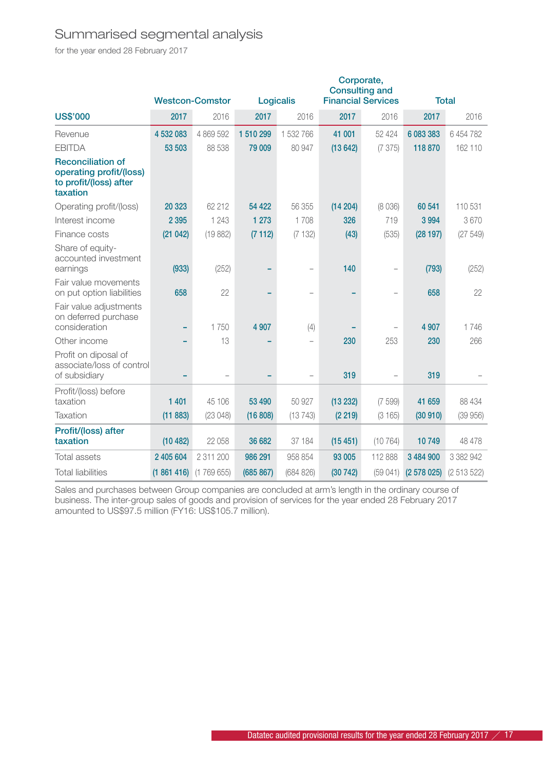### Summarised segmental analysis

for the year ended 28 February 2017

|                                                                                           |           |                         |           |                          |          | Corporate,<br><b>Consulting and</b> |           |              |
|-------------------------------------------------------------------------------------------|-----------|-------------------------|-----------|--------------------------|----------|-------------------------------------|-----------|--------------|
|                                                                                           |           | <b>Westcon-Comstor</b>  |           | Logicalis                |          | <b>Financial Services</b>           |           | <b>Total</b> |
| <b>US\$'000</b>                                                                           | 2017      | 2016                    | 2017      | 2016                     | 2017     | 2016                                | 2017      | 2016         |
| Revenue                                                                                   | 4 532 083 | 4 869 592               | 1 510 299 | 1 532 766                | 41 001   | 52 424                              | 6 083 383 | 6 454 782    |
| <b>EBITDA</b>                                                                             | 53 503    | 88 538                  | 79 009    | 80 947                   | (13642)  | (7375)                              | 118 870   | 162 110      |
| <b>Reconciliation of</b><br>operating profit/(loss)<br>to profit/(loss) after<br>taxation |           |                         |           |                          |          |                                     |           |              |
| Operating profit/(loss)                                                                   | 20 323    | 62 212                  | 54 4 22   | 56 355                   | (14204)  | (8036)                              | 60 541    | 110 531      |
| Interest income                                                                           | 2 3 9 5   | 1 2 4 3                 | 1 2 7 3   | 1708                     | 326      | 719                                 | 3 9 9 4   | 3670         |
| Finance costs                                                                             | (21042)   | (19882)                 | (7112)    | (7132)                   | (43)     | (535)                               | (28197)   | (27549)      |
| Share of equity-<br>accounted investment<br>earnings                                      | (933)     | (252)                   |           | $\overline{\phantom{0}}$ | 140      |                                     | (793)     | (252)        |
| Fair value movements<br>on put option liabilities                                         | 658       | 22                      |           |                          |          |                                     | 658       | 22           |
| Fair value adjustments<br>on deferred purchase<br>consideration                           |           | 1750                    | 4 9 0 7   | (4)                      |          |                                     | 4 907     | 1746         |
| Other income                                                                              |           | 13                      |           |                          | 230      | 253                                 | 230       | 266          |
| Profit on diposal of<br>associate/loss of control<br>of subsidiary                        |           |                         |           | $\overline{\phantom{0}}$ | 319      |                                     | 319       |              |
| Profit/(loss) before<br>taxation                                                          | 1 4 0 1   | 45 106                  | 53 490    | 50 927                   | (13 232) | (7599)                              | 41 659    | 88 434       |
| Taxation                                                                                  | (11883)   | (23048)                 | (16 808)  | (13743)                  | (2 219)  | (3165)                              | (30910)   | (39956)      |
| Profit/(loss) after<br>taxation                                                           | (10482)   | 22 058                  | 36 682    | 37 184                   | (15451)  | (10764)                             | 10749     | 48 478       |
| <b>Total assets</b>                                                                       | 2 405 604 | 2 311 200               | 986 291   | 958 854                  | 93 005   | 112 888                             | 3 484 900 | 3 382 942    |
| <b>Total liabilities</b>                                                                  |           | $(1861416)$ $(1769655)$ | (685 867) | (684 826)                | (30742)  | (59041)                             | (2578025) | (2513522)    |

Sales and purchases between Group companies are concluded at arm's length in the ordinary course of business. The inter-group sales of goods and provision of services for the year ended 28 February 2017 amounted to US\$97.5 million (FY16: US\$105.7 million).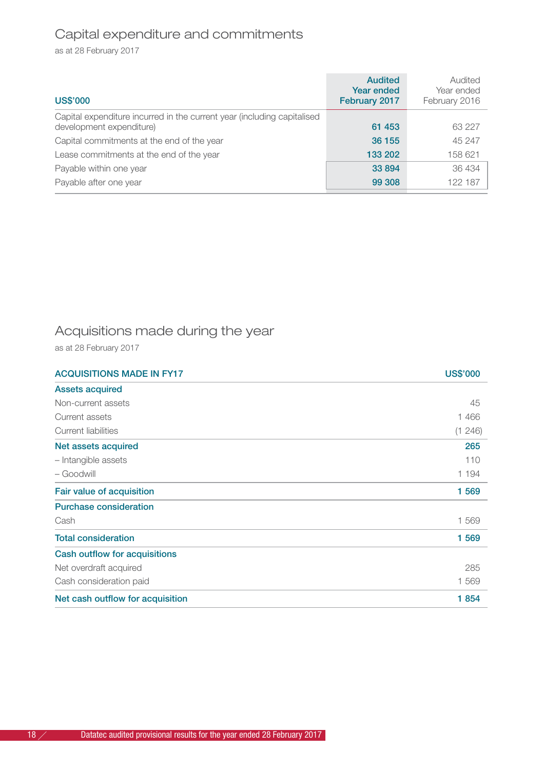## Capital expenditure and commitments

as at 28 February 2017

| <b>US\$'000</b>                                                                                     | <b>Audited</b><br><b>Year ended</b><br>February 2017 | Audited<br>Year ended<br>February 2016 |
|-----------------------------------------------------------------------------------------------------|------------------------------------------------------|----------------------------------------|
| Capital expenditure incurred in the current year (including capitalised<br>development expenditure) | 61 453                                               | 63 227                                 |
| Capital commitments at the end of the year                                                          | 36 155                                               | 45 247                                 |
| Lease commitments at the end of the year                                                            | 133 202                                              | 158 621                                |
| Payable within one year                                                                             | 33 894                                               | 36 434                                 |
| Payable after one year                                                                              | 99 308                                               | 122 187                                |

## Acquisitions made during the year

as at 28 February 2017

| <b>ACQUISITIONS MADE IN FY17</b> | <b>US\$'000</b> |
|----------------------------------|-----------------|
| <b>Assets acquired</b>           |                 |
| Non-current assets               | 45              |
| Current assets                   | 1466            |
| Current liabilities              | (1246)          |
| Net assets acquired              | 265             |
| - Intangible assets              | 110             |
| - Goodwill                       | 1 1 9 4         |
| Fair value of acquisition        | 1569            |
| Purchase consideration           |                 |
| Cash                             | 1569            |
| <b>Total consideration</b>       | 1569            |
| Cash outflow for acquisitions    |                 |
| Net overdraft acquired           | 285             |
| Cash consideration paid          | 1569            |
| Net cash outflow for acquisition | 1854            |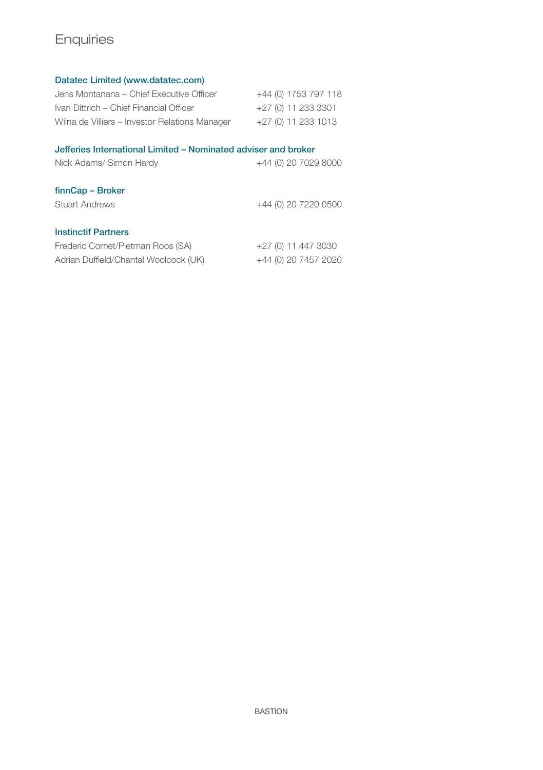## Enquiries

#### Datatec Limited (www.datatec.com)

| Jens Montanana - Chief Executive Officer       | +44 (0) 1753 797 118 |
|------------------------------------------------|----------------------|
| Ivan Dittrich - Chief Financial Officer        | +27 (0) 11 233 3301  |
| Wilna de Villiers - Investor Relations Manager | +27 (0) 11 233 1013  |

#### Jefferies International Limited – Nominated adviser and broker

| Nick Adams/ Simon Hardy               | +44 (0) 20 7029 8000 |
|---------------------------------------|----------------------|
| finnCap - Broker                      |                      |
| <b>Stuart Andrews</b>                 | +44 (0) 20 7220 0500 |
| <b>Instinctif Partners</b>            |                      |
| Frederic Cornet/Pietman Roos (SA)     | +27 (0) 11 447 3030  |
| Adrian Duffield/Chantal Woolcock (UK) | +44 (0) 20 7457 2020 |